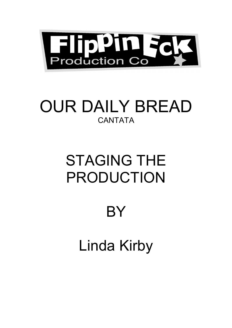

# OUR DAILY BREAD **CANTATA**

# STAGING THE PRODUCTION

# BY

Linda Kirby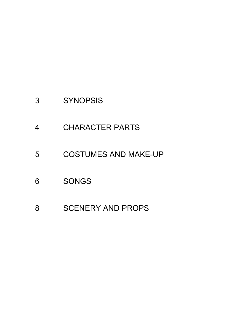- SYNOPSIS
- CHARACTER PARTS
- COSTUMES AND MAKE-UP
- SONGS
- SCENERY AND PROPS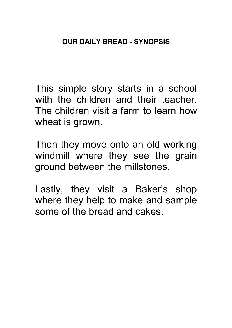This simple story starts in a school with the children and their teacher. The children visit a farm to learn how wheat is grown.

Then they move onto an old working windmill where they see the grain ground between the millstones.

Lastly, they visit a Baker's shop where they help to make and sample some of the bread and cakes.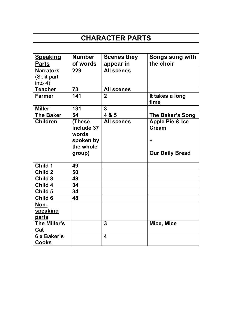# **CHARACTER PARTS**

| <b>Speaking</b>                            | <b>Number</b>                                                     | <b>Scenes they</b>      | <b>Songs sung with</b>                                                    |
|--------------------------------------------|-------------------------------------------------------------------|-------------------------|---------------------------------------------------------------------------|
| <b>Parts</b>                               | of words                                                          | appear in               | the choir                                                                 |
| <b>Narrators</b><br>(Split part<br>into 4) | 229                                                               | <b>All scenes</b>       |                                                                           |
| <b>Teacher</b>                             | 73                                                                | <b>All scenes</b>       |                                                                           |
| <b>Farmer</b>                              | 141                                                               | $\mathbf{2}$            | It takes a long<br>time                                                   |
| <b>Miller</b>                              | 131                                                               | 3                       |                                                                           |
| <b>The Baker</b>                           | 54                                                                | 4 & 5                   | The Baker's Song                                                          |
| <b>Children</b>                            | (These<br>include 37<br>words<br>spoken by<br>the whole<br>group) | <b>All scenes</b>       | <b>Apple Pie &amp; Ice</b><br><b>Cream</b><br>٠<br><b>Our Daily Bread</b> |
| Child 1                                    | 49                                                                |                         |                                                                           |
| <b>Child 2</b>                             | 50                                                                |                         |                                                                           |
| Child 3                                    | 48                                                                |                         |                                                                           |
| Child 4                                    | 34                                                                |                         |                                                                           |
| Child 5                                    | 34                                                                |                         |                                                                           |
| Child 6                                    | 48                                                                |                         |                                                                           |
| Non-<br>speaking<br>parts                  |                                                                   |                         |                                                                           |
| The Miller's<br>Cat                        |                                                                   | 3                       | Mice, Mice                                                                |
| 6 x Baker's<br><b>Cooks</b>                |                                                                   | $\overline{\mathbf{4}}$ |                                                                           |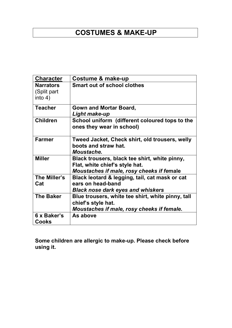# **COSTUMES & MAKE-UP**

| <b>Character</b>                           | Costume & make-up                                                                                                            |
|--------------------------------------------|------------------------------------------------------------------------------------------------------------------------------|
| <b>Narrators</b><br>(Split part<br>into 4) | <b>Smart out of school clothes</b>                                                                                           |
| <b>Teacher</b>                             | Gown and Mortar Board,<br>Light make-up                                                                                      |
| <b>Children</b>                            | School uniform (different coloured tops to the<br>ones they wear in school)                                                  |
| <b>Farmer</b>                              | Tweed Jacket, Check shirt, old trousers, welly<br>boots and straw hat.<br>Moustache.                                         |
| <b>Miller</b>                              | Black trousers, black tee shirt, white pinny,<br>Flat, white chief's style hat.<br>Moustaches if male, rosy cheeks if female |
| The Miller's<br>Cat                        | Black leotard & legging, tail, cat mask or cat<br>ears on head-band<br><b>Black nose dark eyes and whiskers</b>              |
| <b>The Baker</b>                           | Blue trousers, white tee shirt, white pinny, tall<br>chief's style hat.<br>Moustaches if male, rosy cheeks if female.        |
| 6 x Baker's<br>Cooks                       | As above                                                                                                                     |

**Some children are allergic to make-up. Please check before using it.**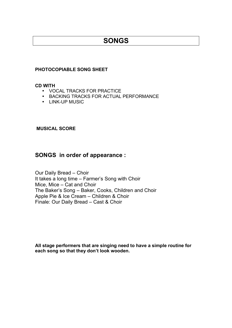## **SONGS**

#### **PHOTOCOPIABLE SONG SHEET**

#### **CD WITH**

- VOCAL TRACKS FOR PRACTICE
- BACKING TRACKS FOR ACTUAL PERFORMANCE
- LINK-UP MUSIC

#### **MUSICAL SCORE**

#### **SONGS in order of appearance :**

Our Daily Bread – Choir It takes a long time – Farmer's Song with Choir Mice, Mice – Cat and Choir The Baker's Song – Baker, Cooks, Children and Choir Apple Pie & Ice Cream – Children & Choir Finale: Our Daily Bread – Cast & Choir

**All stage performers that are singing need to have a simple routine for each song so that they don't look wooden.**